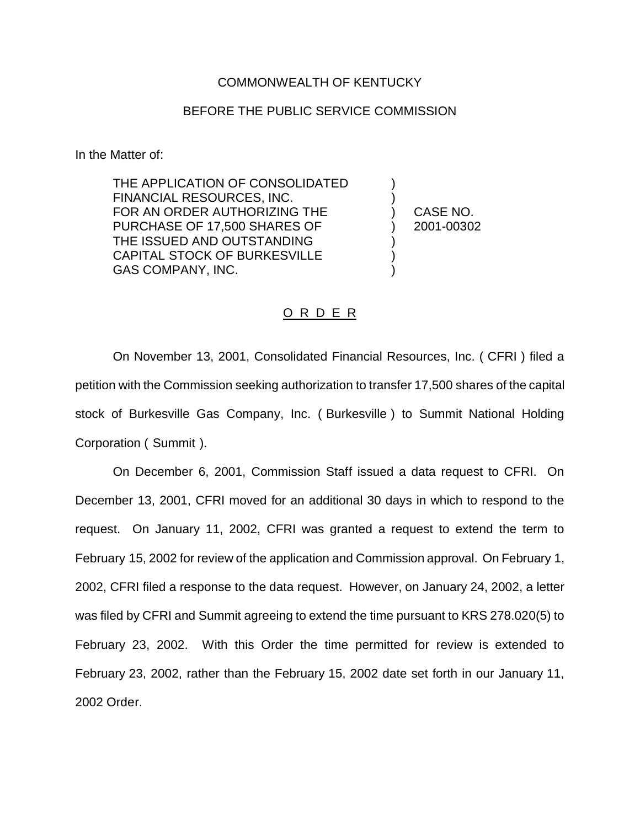## COMMONWEALTH OF KENTUCKY

## BEFORE THE PUBLIC SERVICE COMMISSION

In the Matter of:

THE APPLICATION OF CONSOLIDATED FINANCIAL RESOURCES, INC. ) FOR AN ORDER AUTHORIZING THE  $\overline{)}$  CASE NO. PURCHASE OF 17,500 SHARES OF ) 2001-00302 THE ISSUED AND OUTSTANDING CAPITAL STOCK OF BURKESVILLE ) GAS COMPANY, INC.

## O R D E R

On November 13, 2001, Consolidated Financial Resources, Inc. ( CFRI ) filed a petition with the Commission seeking authorization to transfer 17,500 shares of the capital stock of Burkesville Gas Company, Inc. ( Burkesville ) to Summit National Holding Corporation ( Summit ).

On December 6, 2001, Commission Staff issued a data request to CFRI. On December 13, 2001, CFRI moved for an additional 30 days in which to respond to the request. On January 11, 2002, CFRI was granted a request to extend the term to February 15, 2002 for review of the application and Commission approval. On February 1, 2002, CFRI filed a response to the data request. However, on January 24, 2002, a letter was filed by CFRI and Summit agreeing to extend the time pursuant to KRS 278.020(5) to February 23, 2002. With this Order the time permitted for review is extended to February 23, 2002, rather than the February 15, 2002 date set forth in our January 11, 2002 Order.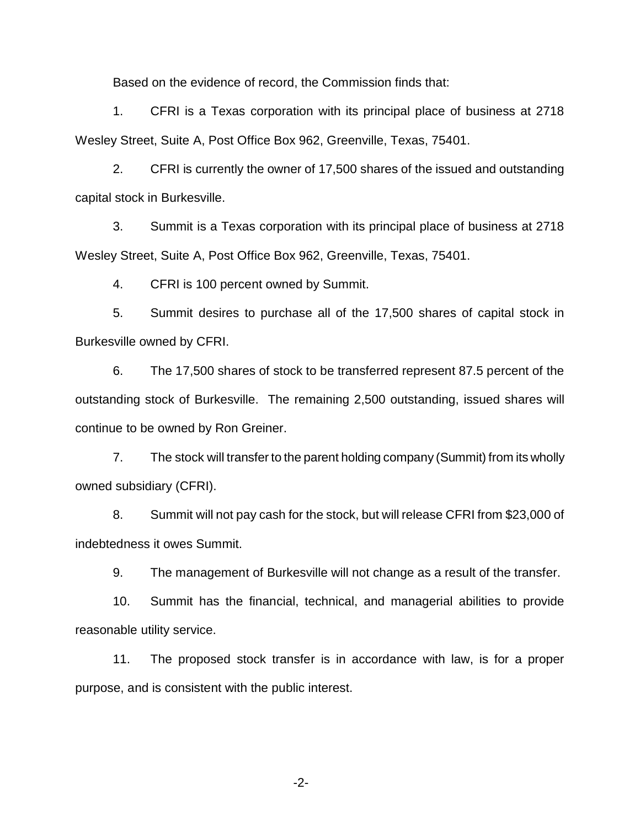Based on the evidence of record, the Commission finds that:

1. CFRI is a Texas corporation with its principal place of business at 2718 Wesley Street, Suite A, Post Office Box 962, Greenville, Texas, 75401.

2. CFRI is currently the owner of 17,500 shares of the issued and outstanding capital stock in Burkesville.

3. Summit is a Texas corporation with its principal place of business at 2718 Wesley Street, Suite A, Post Office Box 962, Greenville, Texas, 75401.

4. CFRI is 100 percent owned by Summit.

5. Summit desires to purchase all of the 17,500 shares of capital stock in Burkesville owned by CFRI.

6. The 17,500 shares of stock to be transferred represent 87.5 percent of the outstanding stock of Burkesville. The remaining 2,500 outstanding, issued shares will continue to be owned by Ron Greiner.

7. The stock will transfer to the parent holding company (Summit) from its wholly owned subsidiary (CFRI).

8. Summit will not pay cash for the stock, but will release CFRI from \$23,000 of indebtedness it owes Summit.

9. The management of Burkesville will not change as a result of the transfer.

10. Summit has the financial, technical, and managerial abilities to provide reasonable utility service.

11. The proposed stock transfer is in accordance with law, is for a proper purpose, and is consistent with the public interest.

-2-